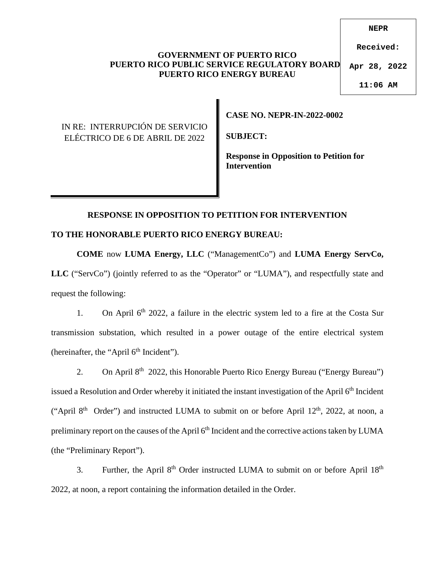#### **GOVERNMENT OF PUERTO RICO PUERTO RICO PUBLIC SERVICE REGULATORY BOARD PUERTO RICO ENERGY BUREAU**

**NEPR**

**Received:**

**Apr 28, 2022**

**11:06 AM**

IN RE: INTERRUPCIÓN DE SERVICIO ELÉCTRICO DE 6 DE ABRIL DE 2022

**CASE NO. NEPR-IN-2022-0002** 

**SUBJECT:** 

**Response in Opposition to Petition for Intervention** 

# **RESPONSE IN OPPOSITION TO PETITION FOR INTERVENTION**

### **TO THE HONORABLE PUERTO RICO ENERGY BUREAU:**

**COME** now **LUMA Energy, LLC** ("ManagementCo") and **LUMA Energy ServCo,**  LLC ("ServCo") (jointly referred to as the "Operator" or "LUMA"), and respectfully state and request the following:

1. On April  $6<sup>th</sup>$  2022, a failure in the electric system led to a fire at the Costa Sur transmission substation, which resulted in a power outage of the entire electrical system (hereinafter, the "April  $6<sup>th</sup>$  Incident").

2. On April 8<sup>th</sup> 2022, this Honorable Puerto Rico Energy Bureau ("Energy Bureau") issued a Resolution and Order whereby it initiated the instant investigation of the April 6<sup>th</sup> Incident ("April  $8<sup>th</sup>$  Order") and instructed LUMA to submit on or before April 12<sup>th</sup>, 2022, at noon, a preliminary report on the causes of the April 6<sup>th</sup> Incident and the corrective actions taken by LUMA (the "Preliminary Report").

3. Further, the April 8<sup>th</sup> Order instructed LUMA to submit on or before April 18<sup>th</sup> 2022, at noon, a report containing the information detailed in the Order.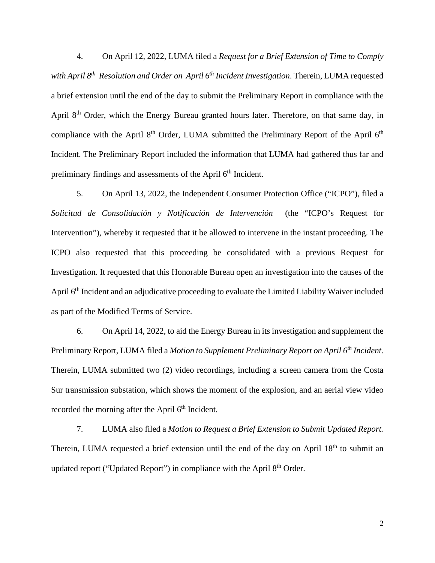4. On April 12, 2022, LUMA filed a *Request for a Brief Extension of Time to Comply with April 8th Resolution and Order on April 6th Incident Investigation*. Therein, LUMA requested a brief extension until the end of the day to submit the Preliminary Report in compliance with the April  $8<sup>th</sup>$  Order, which the Energy Bureau granted hours later. Therefore, on that same day, in compliance with the April  $8<sup>th</sup>$  Order, LUMA submitted the Preliminary Report of the April  $6<sup>th</sup>$ Incident. The Preliminary Report included the information that LUMA had gathered thus far and preliminary findings and assessments of the April 6<sup>th</sup> Incident.

5. On April 13, 2022, the Independent Consumer Protection Office ("ICPO"), filed a *Solicitud de Consolidación y Notificación de Intervención* (the "ICPO's Request for Intervention"), whereby it requested that it be allowed to intervene in the instant proceeding. The ICPO also requested that this proceeding be consolidated with a previous Request for Investigation. It requested that this Honorable Bureau open an investigation into the causes of the April 6th Incident and an adjudicative proceeding to evaluate the Limited Liability Waiver included as part of the Modified Terms of Service.

6. On April 14, 2022, to aid the Energy Bureau in its investigation and supplement the Preliminary Report, LUMA filed a *Motion to Supplement Preliminary Report on April 6th Incident.*  Therein, LUMA submitted two (2) video recordings, including a screen camera from the Costa Sur transmission substation, which shows the moment of the explosion, and an aerial view video recorded the morning after the April  $6<sup>th</sup>$  Incident.

7. LUMA also filed a *Motion to Request a Brief Extension to Submit Updated Report.*  Therein, LUMA requested a brief extension until the end of the day on April 18<sup>th</sup> to submit an updated report ("Updated Report") in compliance with the April 8<sup>th</sup> Order.

2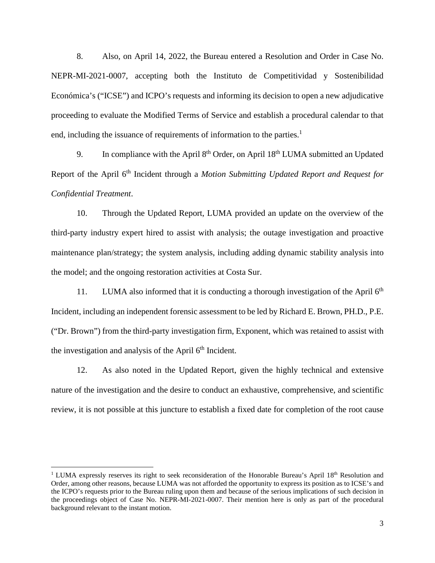8. Also, on April 14, 2022, the Bureau entered a Resolution and Order in Case No. NEPR-MI-2021-0007, accepting both the Instituto de Competitividad y Sostenibilidad Económica's ("ICSE") and ICPO's requests and informing its decision to open a new adjudicative proceeding to evaluate the Modified Terms of Service and establish a procedural calendar to that end, including the issuance of requirements of information to the parties.<sup>[1](#page-2-0)</sup>

9. In compliance with the April  $8<sup>th</sup>$  Order, on April  $18<sup>th</sup>$  LUMA submitted an Updated Report of the April 6<sup>th</sup> Incident through a *Motion Submitting Updated Report and Request for Confidential Treatment*.

10. Through the Updated Report, LUMA provided an update on the overview of the third-party industry expert hired to assist with analysis; the outage investigation and proactive maintenance plan/strategy; the system analysis, including adding dynamic stability analysis into the model; and the ongoing restoration activities at Costa Sur.

11. LUMA also informed that it is conducting a thorough investigation of the April  $6<sup>th</sup>$ Incident, including an independent forensic assessment to be led by Richard E. Brown, PH.D., P.E. ("Dr. Brown") from the third-party investigation firm, Exponent, which was retained to assist with the investigation and analysis of the April  $6<sup>th</sup>$  Incident.

12. As also noted in the Updated Report, given the highly technical and extensive nature of the investigation and the desire to conduct an exhaustive, comprehensive, and scientific review, it is not possible at this juncture to establish a fixed date for completion of the root cause

<span id="page-2-0"></span><sup>&</sup>lt;sup>1</sup> LUMA expressly reserves its right to seek reconsideration of the Honorable Bureau's April  $18<sup>th</sup>$  Resolution and Order, among other reasons, because LUMA was not afforded the opportunity to express its position as to ICSE's and the ICPO's requests prior to the Bureau ruling upon them and because of the serious implications of such decision in the proceedings object of Case No. NEPR-MI-2021-0007. Their mention here is only as part of the procedural background relevant to the instant motion.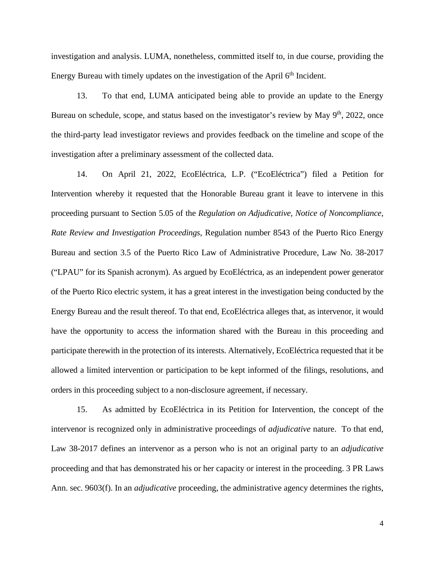investigation and analysis. LUMA, nonetheless, committed itself to, in due course, providing the Energy Bureau with timely updates on the investigation of the April  $6<sup>th</sup>$  Incident.

13. To that end, LUMA anticipated being able to provide an update to the Energy Bureau on schedule, scope, and status based on the investigator's review by May  $9<sup>th</sup>$ , 2022, once the third-party lead investigator reviews and provides feedback on the timeline and scope of the investigation after a preliminary assessment of the collected data.

14. On April 21, 2022, EcoEléctrica, L.P. ("EcoEléctrica") filed a Petition for Intervention whereby it requested that the Honorable Bureau grant it leave to intervene in this proceeding pursuant to Section 5.05 of the *Regulation on Adjudicative, Notice of Noncompliance, Rate Review and Investigation Proceedings*, Regulation number 8543 of the Puerto Rico Energy Bureau and section 3.5 of the Puerto Rico Law of Administrative Procedure, Law No. 38-2017 ("LPAU" for its Spanish acronym). As argued by EcoEléctrica, as an independent power generator of the Puerto Rico electric system, it has a great interest in the investigation being conducted by the Energy Bureau and the result thereof. To that end, EcoEléctrica alleges that, as intervenor, it would have the opportunity to access the information shared with the Bureau in this proceeding and participate therewith in the protection of its interests. Alternatively, EcoEléctrica requested that it be allowed a limited intervention or participation to be kept informed of the filings, resolutions, and orders in this proceeding subject to a non-disclosure agreement, if necessary.

15. As admitted by EcoEléctrica in its Petition for Intervention, the concept of the intervenor is recognized only in administrative proceedings of *adjudicative* nature. To that end, Law 38-2017 defines an intervenor as a person who is not an original party to an *adjudicative* proceeding and that has demonstrated his or her capacity or interest in the proceeding. 3 PR Laws Ann. sec. 9603(f). In an *adjudicative* proceeding, the administrative agency determines the rights,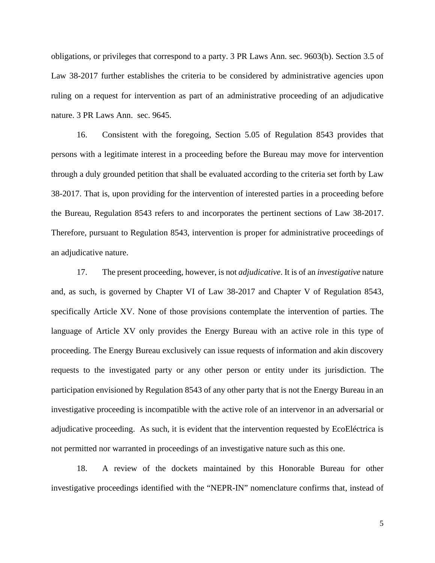obligations, or privileges that correspond to a party. 3 PR Laws Ann. sec. 9603(b). Section 3.5 of Law 38-2017 further establishes the criteria to be considered by administrative agencies upon ruling on a request for intervention as part of an administrative proceeding of an adjudicative nature. 3 PR Laws Ann. sec. 9645.

16. Consistent with the foregoing, Section 5.05 of Regulation 8543 provides that persons with a legitimate interest in a proceeding before the Bureau may move for intervention through a duly grounded petition that shall be evaluated according to the criteria set forth by Law 38-2017. That is, upon providing for the intervention of interested parties in a proceeding before the Bureau, Regulation 8543 refers to and incorporates the pertinent sections of Law 38-2017. Therefore, pursuant to Regulation 8543, intervention is proper for administrative proceedings of an adjudicative nature.

17. The present proceeding, however, is not *adjudicative*. It is of an *investigative* nature and, as such, is governed by Chapter VI of Law 38-2017 and Chapter V of Regulation 8543, specifically Article XV. None of those provisions contemplate the intervention of parties. The language of Article XV only provides the Energy Bureau with an active role in this type of proceeding. The Energy Bureau exclusively can issue requests of information and akin discovery requests to the investigated party or any other person or entity under its jurisdiction. The participation envisioned by Regulation 8543 of any other party that is not the Energy Bureau in an investigative proceeding is incompatible with the active role of an intervenor in an adversarial or adjudicative proceeding. As such, it is evident that the intervention requested by EcoEléctrica is not permitted nor warranted in proceedings of an investigative nature such as this one.

18. A review of the dockets maintained by this Honorable Bureau for other investigative proceedings identified with the "NEPR-IN" nomenclature confirms that, instead of

5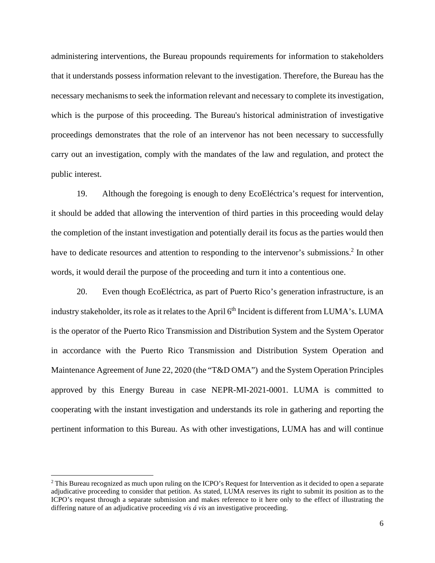administering interventions, the Bureau propounds requirements for information to stakeholders that it understands possess information relevant to the investigation. Therefore, the Bureau has the necessary mechanisms to seek the information relevant and necessary to complete its investigation, which is the purpose of this proceeding. The Bureau's historical administration of investigative proceedings demonstrates that the role of an intervenor has not been necessary to successfully carry out an investigation, comply with the mandates of the law and regulation, and protect the public interest.

19. Although the foregoing is enough to deny EcoEléctrica's request for intervention, it should be added that allowing the intervention of third parties in this proceeding would delay the completion of the instant investigation and potentially derail its focus as the parties would then have to dedicate resources and attention to responding to the intervenor's submissions.<sup>[2](#page-5-0)</sup> In other words, it would derail the purpose of the proceeding and turn it into a contentious one.

20. Even though EcoEléctrica, as part of Puerto Rico's generation infrastructure, is an industry stakeholder, its role as it relates to the April 6<sup>th</sup> Incident is different from LUMA's. LUMA is the operator of the Puerto Rico Transmission and Distribution System and the System Operator in accordance with the Puerto Rico Transmission and Distribution System Operation and Maintenance Agreement of June 22, 2020 (the "T&D OMA") and the System Operation Principles approved by this Energy Bureau in case NEPR-MI-2021-0001. LUMA is committed to cooperating with the instant investigation and understands its role in gathering and reporting the pertinent information to this Bureau. As with other investigations, LUMA has and will continue

<span id="page-5-0"></span><sup>2</sup> This Bureau recognized as much upon ruling on the ICPO's Request for Intervention as it decided to open a separate adjudicative proceeding to consider that petition. As stated, LUMA reserves its right to submit its position as to the ICPO's request through a separate submission and makes reference to it here only to the effect of illustrating the differing nature of an adjudicative proceeding *vis á vis* an investigative proceeding.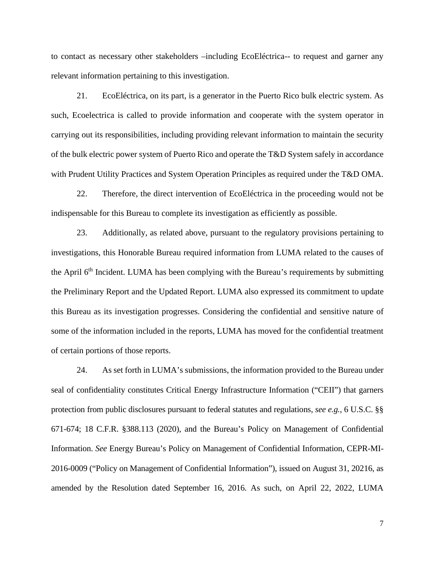to contact as necessary other stakeholders –including EcoEléctrica-- to request and garner any relevant information pertaining to this investigation.

21. EcoEléctrica, on its part, is a generator in the Puerto Rico bulk electric system. As such, Ecoelectrica is called to provide information and cooperate with the system operator in carrying out its responsibilities, including providing relevant information to maintain the security of the bulk electric power system of Puerto Rico and operate the T&D System safely in accordance with Prudent Utility Practices and System Operation Principles as required under the T&D OMA.

22. Therefore, the direct intervention of EcoEléctrica in the proceeding would not be indispensable for this Bureau to complete its investigation as efficiently as possible.

23. Additionally, as related above, pursuant to the regulatory provisions pertaining to investigations, this Honorable Bureau required information from LUMA related to the causes of the April 6<sup>th</sup> Incident. LUMA has been complying with the Bureau's requirements by submitting the Preliminary Report and the Updated Report. LUMA also expressed its commitment to update this Bureau as its investigation progresses. Considering the confidential and sensitive nature of some of the information included in the reports, LUMA has moved for the confidential treatment of certain portions of those reports.

24. As set forth in LUMA's submissions, the information provided to the Bureau under seal of confidentiality constitutes Critical Energy Infrastructure Information ("CEII") that garners protection from public disclosures pursuant to federal statutes and regulations, *see e.g.*, 6 U.S.C. §§ 671-674; 18 C.F.R. §388.113 (2020), and the Bureau's Policy on Management of Confidential Information. *See* Energy Bureau's Policy on Management of Confidential Information, CEPR-MI-2016-0009 ("Policy on Management of Confidential Information"), issued on August 31, 20216, as amended by the Resolution dated September 16, 2016. As such, on April 22, 2022, LUMA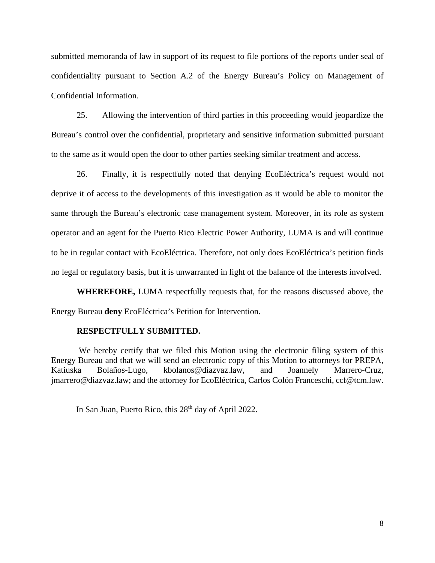submitted memoranda of law in support of its request to file portions of the reports under seal of confidentiality pursuant to Section A.2 of the Energy Bureau's Policy on Management of Confidential Information.

25. Allowing the intervention of third parties in this proceeding would jeopardize the Bureau's control over the confidential, proprietary and sensitive information submitted pursuant to the same as it would open the door to other parties seeking similar treatment and access.

26. Finally, it is respectfully noted that denying EcoEléctrica's request would not deprive it of access to the developments of this investigation as it would be able to monitor the same through the Bureau's electronic case management system. Moreover, in its role as system operator and an agent for the Puerto Rico Electric Power Authority, LUMA is and will continue to be in regular contact with EcoEléctrica. Therefore, not only does EcoEléctrica's petition finds no legal or regulatory basis, but it is unwarranted in light of the balance of the interests involved.

**WHEREFORE,** LUMA respectfully requests that, for the reasons discussed above, the Energy Bureau **deny** EcoEléctrica's Petition for Intervention.

#### **RESPECTFULLY SUBMITTED.**

 We hereby certify that we filed this Motion using the electronic filing system of this Energy Bureau and that we will send an electronic copy of this Motion to attorneys for PREPA, Katiuska Bolaños-Lugo, kbolanos@diazvaz.law, and Joannely Marrero-Cruz, jmarrero@diazvaz.law; and the attorney for EcoEléctrica, Carlos Colón Franceschi, ccf@tcm.law.

In San Juan, Puerto Rico, this  $28<sup>th</sup>$  day of April 2022.